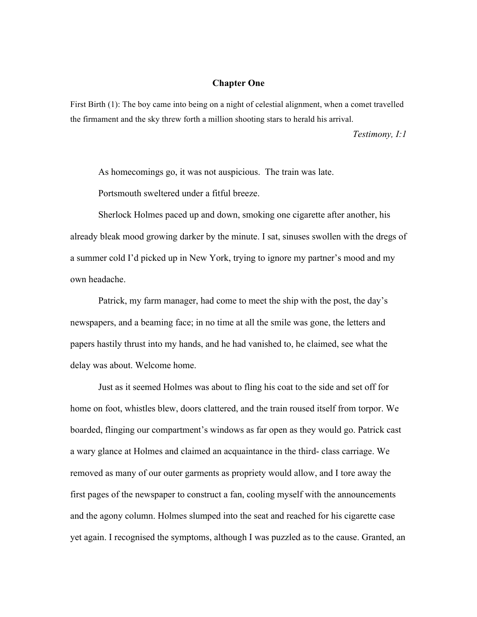## **Chapter One**

First Birth (1): The boy came into being on a night of celestial alignment, when a comet travelled the firmament and the sky threw forth a million shooting stars to herald his arrival.

*Testimony, I:1*

As homecomings go, it was not auspicious. The train was late.

Portsmouth sweltered under a fitful breeze.

Sherlock Holmes paced up and down, smoking one cigarette after another, his already bleak mood growing darker by the minute. I sat, sinuses swollen with the dregs of a summer cold I'd picked up in New York, trying to ignore my partner's mood and my own headache.

Patrick, my farm manager, had come to meet the ship with the post, the day's newspapers, and a beaming face; in no time at all the smile was gone, the letters and papers hastily thrust into my hands, and he had vanished to, he claimed, see what the delay was about. Welcome home.

Just as it seemed Holmes was about to fling his coat to the side and set off for home on foot, whistles blew, doors clattered, and the train roused itself from torpor. We boarded, flinging our compartment's windows as far open as they would go. Patrick cast a wary glance at Holmes and claimed an acquaintance in the third- class carriage. We removed as many of our outer garments as propriety would allow, and I tore away the first pages of the newspaper to construct a fan, cooling myself with the announcements and the agony column. Holmes slumped into the seat and reached for his cigarette case yet again. I recognised the symptoms, although I was puzzled as to the cause. Granted, an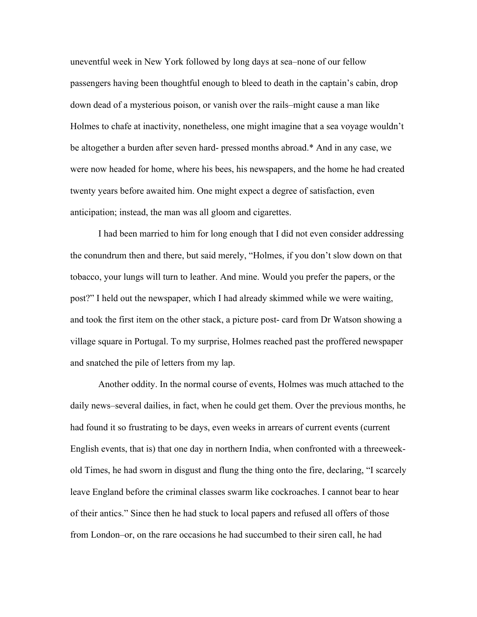uneventful week in New York followed by long days at sea–none of our fellow passengers having been thoughtful enough to bleed to death in the captain's cabin, drop down dead of a mysterious poison, or vanish over the rails–might cause a man like Holmes to chafe at inactivity, nonetheless, one might imagine that a sea voyage wouldn't be altogether a burden after seven hard- pressed months abroad.\* And in any case, we were now headed for home, where his bees, his newspapers, and the home he had created twenty years before awaited him. One might expect a degree of satisfaction, even anticipation; instead, the man was all gloom and cigarettes.

I had been married to him for long enough that I did not even consider addressing the conundrum then and there, but said merely, "Holmes, if you don't slow down on that tobacco, your lungs will turn to leather. And mine. Would you prefer the papers, or the post?" I held out the newspaper, which I had already skimmed while we were waiting, and took the first item on the other stack, a picture post- card from Dr Watson showing a village square in Portugal. To my surprise, Holmes reached past the proffered newspaper and snatched the pile of letters from my lap.

Another oddity. In the normal course of events, Holmes was much attached to the daily news–several dailies, in fact, when he could get them. Over the previous months, he had found it so frustrating to be days, even weeks in arrears of current events (current English events, that is) that one day in northern India, when confronted with a threeweekold Times, he had sworn in disgust and flung the thing onto the fire, declaring, "I scarcely leave England before the criminal classes swarm like cockroaches. I cannot bear to hear of their antics." Since then he had stuck to local papers and refused all offers of those from London–or, on the rare occasions he had succumbed to their siren call, he had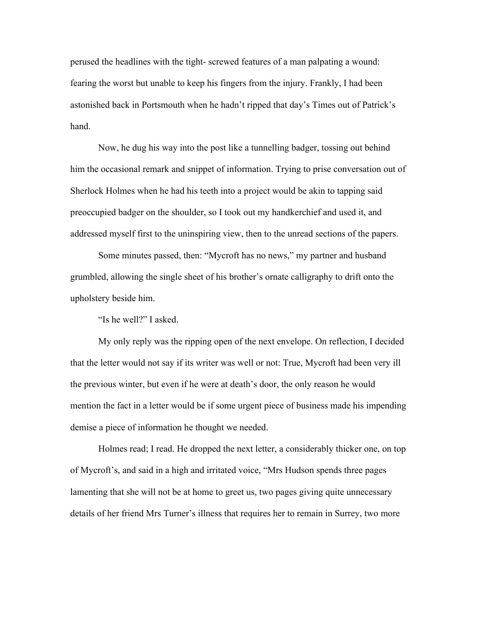perused the headlines with the tight- screwed features of a man palpating a wound: fearing the worst but unable to keep his fingers from the injury. Frankly, I had been astonished back in Portsmouth when he hadn't ripped that day's Times out of Patrick's hand.

Now, he dug his way into the post like a tunnelling badger, tossing out behind him the occasional remark and snippet of information. Trying to prise conversation out of Sherlock Holmes when he had his teeth into a project would be akin to tapping said preoccupied badger on the shoulder, so I took out my handkerchief and used it, and addressed myself first to the uninspiring view, then to the unread sections of the papers.

Some minutes passed, then: "Mycroft has no news," my partner and husband grumbled, allowing the single sheet of his brother's ornate calligraphy to drift onto the upholstery beside him.

"Is he well?" I asked.

My only reply was the ripping open of the next envelope. On reflection, I decided that the letter would not say if its writer was well or not: True, Mycroft had been very ill the previous winter, but even if he were at death's door, the only reason he would mention the fact in a letter would be if some urgent piece of business made his impending demise a piece of information he thought we needed.

Holmes read; I read. He dropped the next letter, a considerably thicker one, on top of Mycroft's, and said in a high and irritated voice, "Mrs Hudson spends three pages lamenting that she will not be at home to greet us, two pages giving quite unnecessary details of her friend Mrs Turner's illness that requires her to remain in Surrey, two more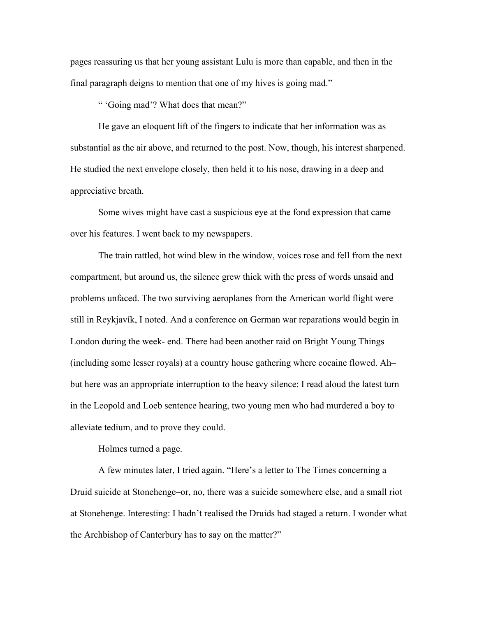pages reassuring us that her young assistant Lulu is more than capable, and then in the final paragraph deigns to mention that one of my hives is going mad."

" 'Going mad'? What does that mean?"

He gave an eloquent lift of the fingers to indicate that her information was as substantial as the air above, and returned to the post. Now, though, his interest sharpened. He studied the next envelope closely, then held it to his nose, drawing in a deep and appreciative breath.

Some wives might have cast a suspicious eye at the fond expression that came over his features. I went back to my newspapers.

The train rattled, hot wind blew in the window, voices rose and fell from the next compartment, but around us, the silence grew thick with the press of words unsaid and problems unfaced. The two surviving aeroplanes from the American world flight were still in Reykjavík, I noted. And a conference on German war reparations would begin in London during the week- end. There had been another raid on Bright Young Things (including some lesser royals) at a country house gathering where cocaine flowed. Ah– but here was an appropriate interruption to the heavy silence: I read aloud the latest turn in the Leopold and Loeb sentence hearing, two young men who had murdered a boy to alleviate tedium, and to prove they could.

Holmes turned a page.

A few minutes later, I tried again. "Here's a letter to The Times concerning a Druid suicide at Stonehenge–or, no, there was a suicide somewhere else, and a small riot at Stonehenge. Interesting: I hadn't realised the Druids had staged a return. I wonder what the Archbishop of Canterbury has to say on the matter?"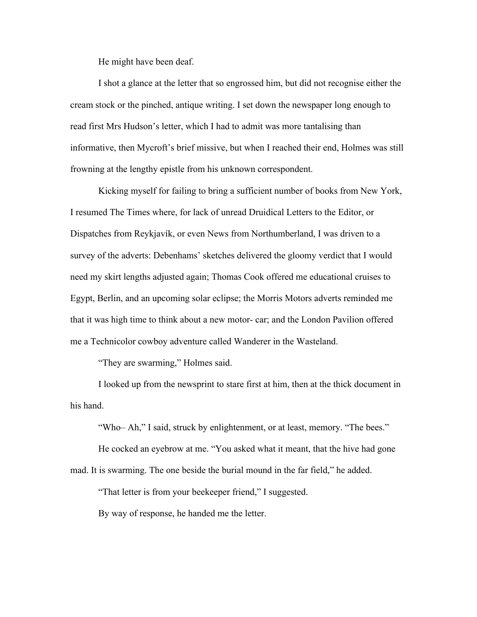He might have been deaf.

I shot a glance at the letter that so engrossed him, but did not recognise either the cream stock or the pinched, antique writing. I set down the newspaper long enough to read first Mrs Hudson's letter, which I had to admit was more tantalising than informative, then Mycroft's brief missive, but when I reached their end, Holmes was still frowning at the lengthy epistle from his unknown correspondent.

Kicking myself for failing to bring a sufficient number of books from New York, I resumed The Times where, for lack of unread Druidical Letters to the Editor, or Dispatches from Reykjavík, or even News from Northumberland, I was driven to a survey of the adverts: Debenhams' sketches delivered the gloomy verdict that I would need my skirt lengths adjusted again; Thomas Cook offered me educational cruises to Egypt, Berlin, and an upcoming solar eclipse; the Morris Motors adverts reminded me that it was high time to think about a new motor- car; and the London Pavilion offered me a Technicolor cowboy adventure called Wanderer in the Wasteland.

"They are swarming," Holmes said.

I looked up from the newsprint to stare first at him, then at the thick document in his hand.

"Who– Ah," I said, struck by enlightenment, or at least, memory. "The bees."

He cocked an eyebrow at me. "You asked what it meant, that the hive had gone mad. It is swarming. The one beside the burial mound in the far field," he added.

"That letter is from your beekeeper friend," I suggested.

By way of response, he handed me the letter.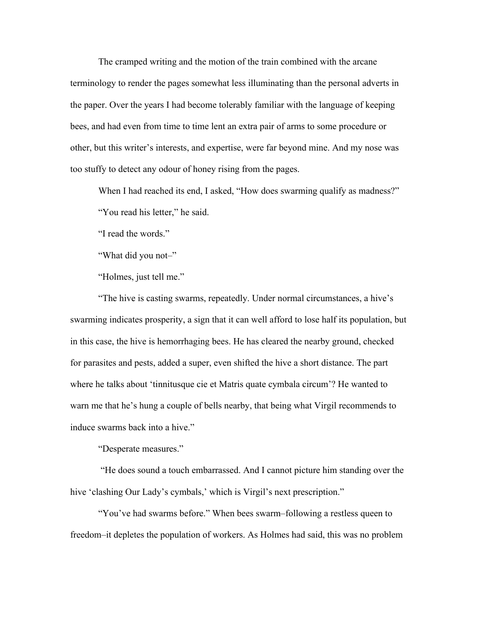The cramped writing and the motion of the train combined with the arcane terminology to render the pages somewhat less illuminating than the personal adverts in the paper. Over the years I had become tolerably familiar with the language of keeping bees, and had even from time to time lent an extra pair of arms to some procedure or other, but this writer's interests, and expertise, were far beyond mine. And my nose was too stuffy to detect any odour of honey rising from the pages.

When I had reached its end, I asked, "How does swarming qualify as madness?"

"You read his letter," he said.

"I read the words."

"What did you not-"

"Holmes, just tell me."

"The hive is casting swarms, repeatedly. Under normal circumstances, a hive's swarming indicates prosperity, a sign that it can well afford to lose half its population, but in this case, the hive is hemorrhaging bees. He has cleared the nearby ground, checked for parasites and pests, added a super, even shifted the hive a short distance. The part where he talks about 'tinnitusque cie et Matris quate cymbala circum'? He wanted to warn me that he's hung a couple of bells nearby, that being what Virgil recommends to induce swarms back into a hive."

"Desperate measures."

 "He does sound a touch embarrassed. And I cannot picture him standing over the hive 'clashing Our Lady's cymbals,' which is Virgil's next prescription."

"You've had swarms before." When bees swarm–following a restless queen to freedom–it depletes the population of workers. As Holmes had said, this was no problem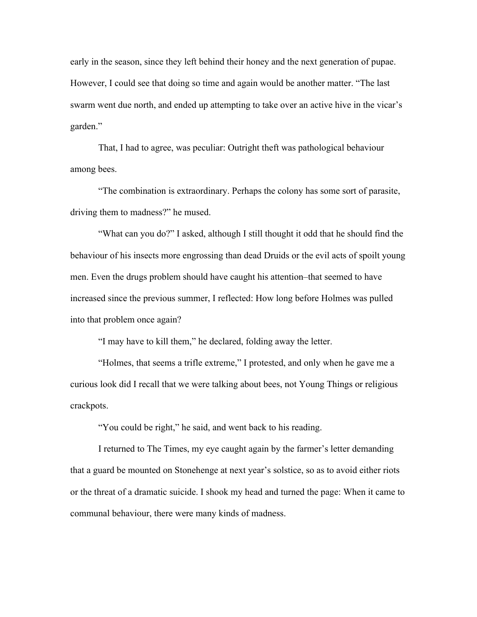early in the season, since they left behind their honey and the next generation of pupae. However, I could see that doing so time and again would be another matter. "The last swarm went due north, and ended up attempting to take over an active hive in the vicar's garden."

That, I had to agree, was peculiar: Outright theft was pathological behaviour among bees.

"The combination is extraordinary. Perhaps the colony has some sort of parasite, driving them to madness?" he mused.

"What can you do?" I asked, although I still thought it odd that he should find the behaviour of his insects more engrossing than dead Druids or the evil acts of spoilt young men. Even the drugs problem should have caught his attention–that seemed to have increased since the previous summer, I reflected: How long before Holmes was pulled into that problem once again?

"I may have to kill them," he declared, folding away the letter.

"Holmes, that seems a trifle extreme," I protested, and only when he gave me a curious look did I recall that we were talking about bees, not Young Things or religious crackpots.

"You could be right," he said, and went back to his reading.

I returned to The Times, my eye caught again by the farmer's letter demanding that a guard be mounted on Stonehenge at next year's solstice, so as to avoid either riots or the threat of a dramatic suicide. I shook my head and turned the page: When it came to communal behaviour, there were many kinds of madness.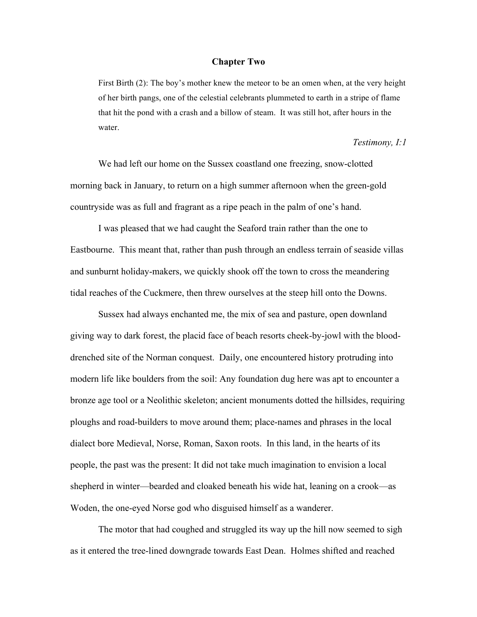## **Chapter Two**

First Birth (2): The boy's mother knew the meteor to be an omen when, at the very height of her birth pangs, one of the celestial celebrants plummeted to earth in a stripe of flame that hit the pond with a crash and a billow of steam. It was still hot, after hours in the water.

## *Testimony, I:1*

We had left our home on the Sussex coastland one freezing, snow-clotted morning back in January, to return on a high summer afternoon when the green-gold countryside was as full and fragrant as a ripe peach in the palm of one's hand.

I was pleased that we had caught the Seaford train rather than the one to Eastbourne. This meant that, rather than push through an endless terrain of seaside villas and sunburnt holiday-makers, we quickly shook off the town to cross the meandering tidal reaches of the Cuckmere, then threw ourselves at the steep hill onto the Downs.

Sussex had always enchanted me, the mix of sea and pasture, open downland giving way to dark forest, the placid face of beach resorts cheek-by-jowl with the blooddrenched site of the Norman conquest. Daily, one encountered history protruding into modern life like boulders from the soil: Any foundation dug here was apt to encounter a bronze age tool or a Neolithic skeleton; ancient monuments dotted the hillsides, requiring ploughs and road-builders to move around them; place-names and phrases in the local dialect bore Medieval, Norse, Roman, Saxon roots. In this land, in the hearts of its people, the past was the present: It did not take much imagination to envision a local shepherd in winter—bearded and cloaked beneath his wide hat, leaning on a crook—as Woden, the one-eyed Norse god who disguised himself as a wanderer.

The motor that had coughed and struggled its way up the hill now seemed to sigh as it entered the tree-lined downgrade towards East Dean. Holmes shifted and reached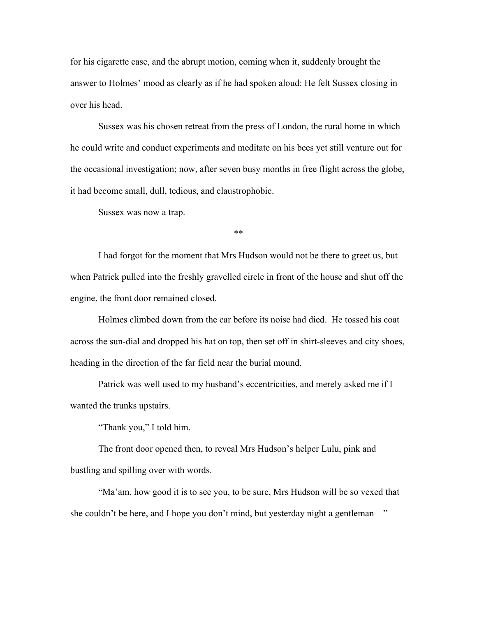for his cigarette case, and the abrupt motion, coming when it, suddenly brought the answer to Holmes' mood as clearly as if he had spoken aloud: He felt Sussex closing in over his head.

Sussex was his chosen retreat from the press of London, the rural home in which he could write and conduct experiments and meditate on his bees yet still venture out for the occasional investigation; now, after seven busy months in free flight across the globe, it had become small, dull, tedious, and claustrophobic.

Sussex was now a trap.

\*\*

I had forgot for the moment that Mrs Hudson would not be there to greet us, but when Patrick pulled into the freshly gravelled circle in front of the house and shut off the engine, the front door remained closed.

Holmes climbed down from the car before its noise had died. He tossed his coat across the sun-dial and dropped his hat on top, then set off in shirt-sleeves and city shoes, heading in the direction of the far field near the burial mound.

Patrick was well used to my husband's eccentricities, and merely asked me if I wanted the trunks upstairs.

"Thank you," I told him.

The front door opened then, to reveal Mrs Hudson's helper Lulu, pink and bustling and spilling over with words.

"Ma'am, how good it is to see you, to be sure, Mrs Hudson will be so vexed that she couldn't be here, and I hope you don't mind, but yesterday night a gentleman—"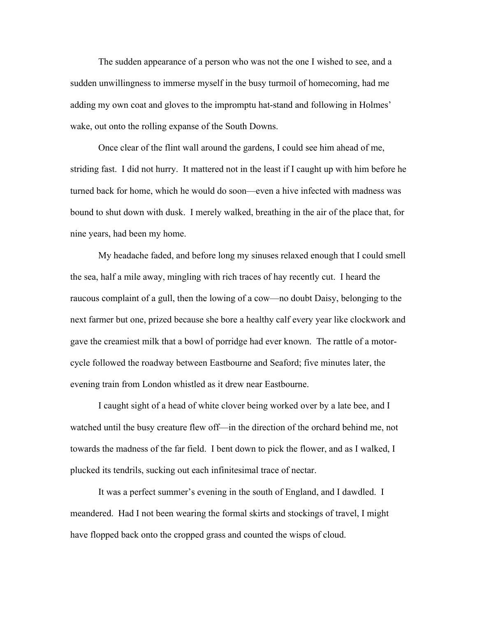The sudden appearance of a person who was not the one I wished to see, and a sudden unwillingness to immerse myself in the busy turmoil of homecoming, had me adding my own coat and gloves to the impromptu hat-stand and following in Holmes' wake, out onto the rolling expanse of the South Downs.

Once clear of the flint wall around the gardens, I could see him ahead of me, striding fast. I did not hurry. It mattered not in the least if I caught up with him before he turned back for home, which he would do soon—even a hive infected with madness was bound to shut down with dusk. I merely walked, breathing in the air of the place that, for nine years, had been my home.

My headache faded, and before long my sinuses relaxed enough that I could smell the sea, half a mile away, mingling with rich traces of hay recently cut. I heard the raucous complaint of a gull, then the lowing of a cow—no doubt Daisy, belonging to the next farmer but one, prized because she bore a healthy calf every year like clockwork and gave the creamiest milk that a bowl of porridge had ever known. The rattle of a motorcycle followed the roadway between Eastbourne and Seaford; five minutes later, the evening train from London whistled as it drew near Eastbourne.

I caught sight of a head of white clover being worked over by a late bee, and I watched until the busy creature flew off—in the direction of the orchard behind me, not towards the madness of the far field. I bent down to pick the flower, and as I walked, I plucked its tendrils, sucking out each infinitesimal trace of nectar.

It was a perfect summer's evening in the south of England, and I dawdled. I meandered. Had I not been wearing the formal skirts and stockings of travel, I might have flopped back onto the cropped grass and counted the wisps of cloud.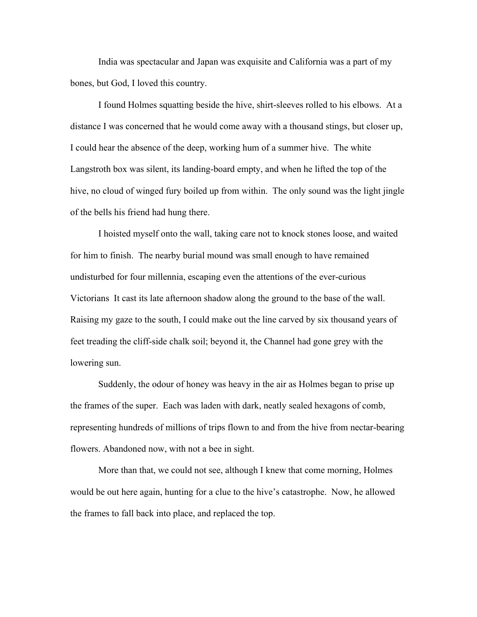India was spectacular and Japan was exquisite and California was a part of my bones, but God, I loved this country.

I found Holmes squatting beside the hive, shirt-sleeves rolled to his elbows. At a distance I was concerned that he would come away with a thousand stings, but closer up, I could hear the absence of the deep, working hum of a summer hive. The white Langstroth box was silent, its landing-board empty, and when he lifted the top of the hive, no cloud of winged fury boiled up from within. The only sound was the light jingle of the bells his friend had hung there.

I hoisted myself onto the wall, taking care not to knock stones loose, and waited for him to finish. The nearby burial mound was small enough to have remained undisturbed for four millennia, escaping even the attentions of the ever-curious Victorians It cast its late afternoon shadow along the ground to the base of the wall. Raising my gaze to the south, I could make out the line carved by six thousand years of feet treading the cliff-side chalk soil; beyond it, the Channel had gone grey with the lowering sun.

Suddenly, the odour of honey was heavy in the air as Holmes began to prise up the frames of the super. Each was laden with dark, neatly sealed hexagons of comb, representing hundreds of millions of trips flown to and from the hive from nectar-bearing flowers. Abandoned now, with not a bee in sight.

More than that, we could not see, although I knew that come morning, Holmes would be out here again, hunting for a clue to the hive's catastrophe. Now, he allowed the frames to fall back into place, and replaced the top.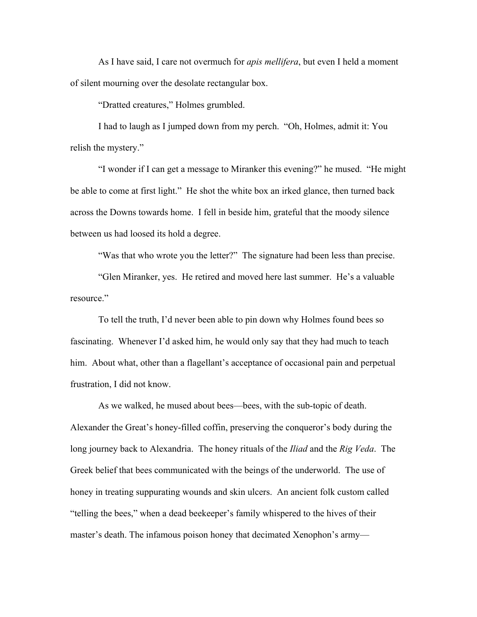As I have said, I care not overmuch for *apis mellifera*, but even I held a moment of silent mourning over the desolate rectangular box.

"Dratted creatures," Holmes grumbled.

I had to laugh as I jumped down from my perch. "Oh, Holmes, admit it: You relish the mystery."

"I wonder if I can get a message to Miranker this evening?" he mused. "He might be able to come at first light." He shot the white box an irked glance, then turned back across the Downs towards home. I fell in beside him, grateful that the moody silence between us had loosed its hold a degree.

"Was that who wrote you the letter?" The signature had been less than precise.

"Glen Miranker, yes. He retired and moved here last summer. He's a valuable resource."

To tell the truth, I'd never been able to pin down why Holmes found bees so fascinating. Whenever I'd asked him, he would only say that they had much to teach him. About what, other than a flagellant's acceptance of occasional pain and perpetual frustration, I did not know.

As we walked, he mused about bees—bees, with the sub-topic of death. Alexander the Great's honey-filled coffin, preserving the conqueror's body during the long journey back to Alexandria. The honey rituals of the *Iliad* and the *Rig Veda*. The Greek belief that bees communicated with the beings of the underworld. The use of honey in treating suppurating wounds and skin ulcers. An ancient folk custom called "telling the bees," when a dead beekeeper's family whispered to the hives of their master's death. The infamous poison honey that decimated Xenophon's army—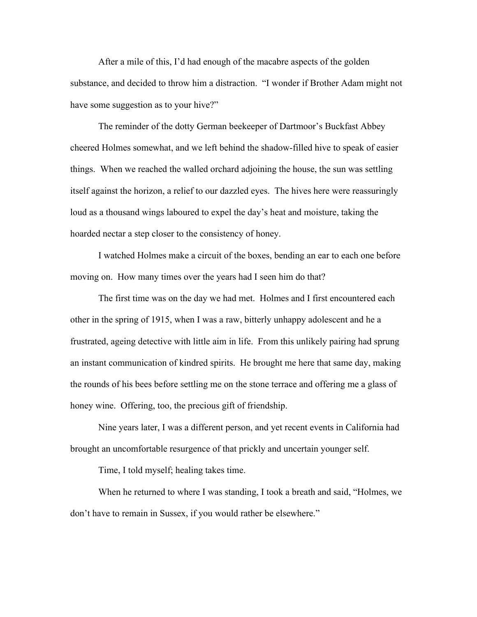After a mile of this, I'd had enough of the macabre aspects of the golden substance, and decided to throw him a distraction. "I wonder if Brother Adam might not have some suggestion as to your hive?"

The reminder of the dotty German beekeeper of Dartmoor's Buckfast Abbey cheered Holmes somewhat, and we left behind the shadow-filled hive to speak of easier things. When we reached the walled orchard adjoining the house, the sun was settling itself against the horizon, a relief to our dazzled eyes. The hives here were reassuringly loud as a thousand wings laboured to expel the day's heat and moisture, taking the hoarded nectar a step closer to the consistency of honey.

I watched Holmes make a circuit of the boxes, bending an ear to each one before moving on. How many times over the years had I seen him do that?

The first time was on the day we had met. Holmes and I first encountered each other in the spring of 1915, when I was a raw, bitterly unhappy adolescent and he a frustrated, ageing detective with little aim in life. From this unlikely pairing had sprung an instant communication of kindred spirits. He brought me here that same day, making the rounds of his bees before settling me on the stone terrace and offering me a glass of honey wine. Offering, too, the precious gift of friendship.

Nine years later, I was a different person, and yet recent events in California had brought an uncomfortable resurgence of that prickly and uncertain younger self.

Time, I told myself; healing takes time.

When he returned to where I was standing, I took a breath and said, "Holmes, we don't have to remain in Sussex, if you would rather be elsewhere."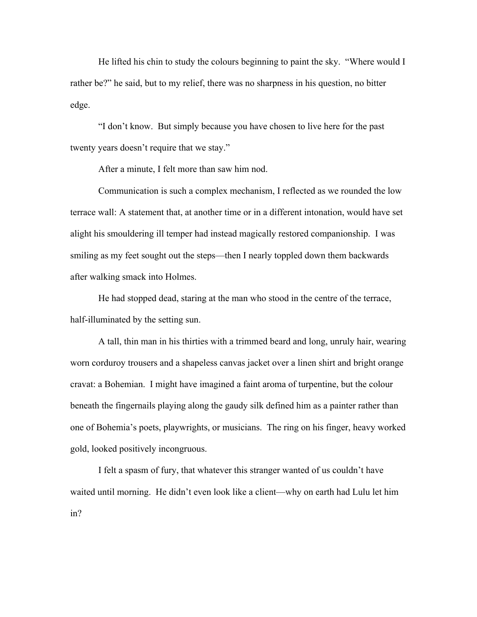He lifted his chin to study the colours beginning to paint the sky. "Where would I rather be?" he said, but to my relief, there was no sharpness in his question, no bitter edge.

"I don't know. But simply because you have chosen to live here for the past twenty years doesn't require that we stay."

After a minute, I felt more than saw him nod.

Communication is such a complex mechanism, I reflected as we rounded the low terrace wall: A statement that, at another time or in a different intonation, would have set alight his smouldering ill temper had instead magically restored companionship. I was smiling as my feet sought out the steps—then I nearly toppled down them backwards after walking smack into Holmes.

He had stopped dead, staring at the man who stood in the centre of the terrace, half-illuminated by the setting sun.

A tall, thin man in his thirties with a trimmed beard and long, unruly hair, wearing worn corduroy trousers and a shapeless canvas jacket over a linen shirt and bright orange cravat: a Bohemian. I might have imagined a faint aroma of turpentine, but the colour beneath the fingernails playing along the gaudy silk defined him as a painter rather than one of Bohemia's poets, playwrights, or musicians. The ring on his finger, heavy worked gold, looked positively incongruous.

I felt a spasm of fury, that whatever this stranger wanted of us couldn't have waited until morning. He didn't even look like a client—why on earth had Lulu let him in?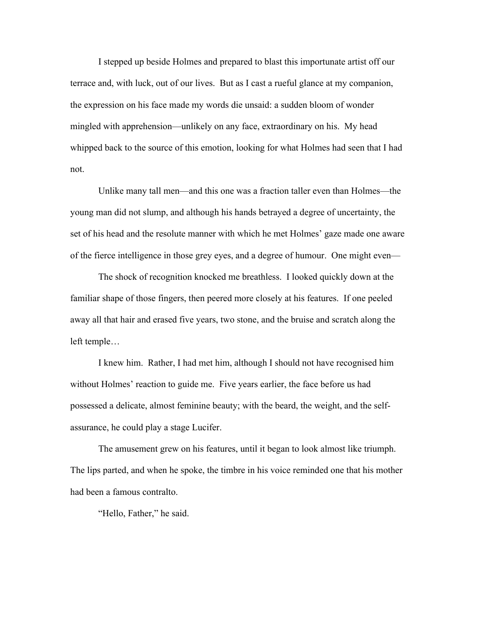I stepped up beside Holmes and prepared to blast this importunate artist off our terrace and, with luck, out of our lives. But as I cast a rueful glance at my companion, the expression on his face made my words die unsaid: a sudden bloom of wonder mingled with apprehension—unlikely on any face, extraordinary on his. My head whipped back to the source of this emotion, looking for what Holmes had seen that I had not.

Unlike many tall men—and this one was a fraction taller even than Holmes—the young man did not slump, and although his hands betrayed a degree of uncertainty, the set of his head and the resolute manner with which he met Holmes' gaze made one aware of the fierce intelligence in those grey eyes, and a degree of humour. One might even—

The shock of recognition knocked me breathless. I looked quickly down at the familiar shape of those fingers, then peered more closely at his features. If one peeled away all that hair and erased five years, two stone, and the bruise and scratch along the left temple…

I knew him. Rather, I had met him, although I should not have recognised him without Holmes' reaction to guide me. Five years earlier, the face before us had possessed a delicate, almost feminine beauty; with the beard, the weight, and the selfassurance, he could play a stage Lucifer.

The amusement grew on his features, until it began to look almost like triumph. The lips parted, and when he spoke, the timbre in his voice reminded one that his mother had been a famous contralto.

"Hello, Father," he said.